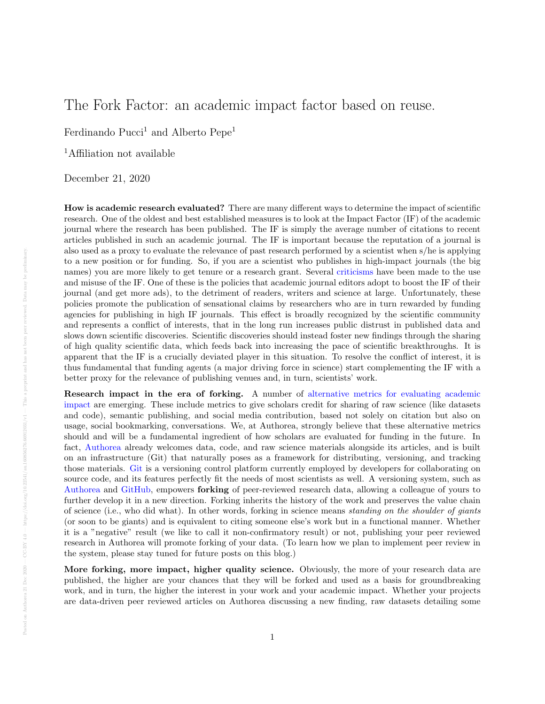## The Fork Factor: an academic impact factor based on reuse.

Ferdinando Pucci<sup>1</sup> and Alberto Pepe<sup>1</sup>

<sup>1</sup>Affiliation not available

December 21, 2020

How is academic research evaluated? There are many different ways to determine the impact of scientific research. One of the oldest and best established measures is to look at the Impact Factor (IF) of the academic journal where the research has been published. The IF is simply the average number of citations to recent articles published in such an academic journal. The IF is important because the reputation of a journal is also used as a proxy to evaluate the relevance of past research performed by a scientist when s/he is applying to a new position or for funding. So, if you are a scientist who publishes in high-impact journals (the big names) you are more likely to get tenure or a research grant. Several [criticisms](http://en.wikipedia.org/wiki/Impact_factor#Criticisms) have been made to the use and misuse of the IF. One of these is the policies that academic journal editors adopt to boost the IF of their journal (and get more ads), to the detriment of readers, writers and science at large. Unfortunately, these policies promote the publication of sensational claims by researchers who are in turn rewarded by funding agencies for publishing in high IF journals. This effect is broadly recognized by the scientific community and represents a conflict of interests, that in the long run increases public distrust in published data and slows down scientific discoveries. Scientific discoveries should instead foster new findings through the sharing of high quality scientific data, which feeds back into increasing the pace of scientific breakthroughs. It is apparent that the IF is a crucially deviated player in this situation. To resolve the conflict of interest, it is thus fundamental that funding agents (a major driving force in science) start complementing the IF with a better proxy for the relevance of publishing venues and, in turn, scientists' work.

Research impact in the era of forking. A number of [alternative metrics for evaluating academic](http://altmetrics.org/manifesto/) [impact](http://altmetrics.org/manifesto/) are emerging. These include metrics to give scholars credit for sharing of raw science (like datasets and code), semantic publishing, and social media contribution, based not solely on citation but also on usage, social bookmarking, conversations. We, at Authorea, strongly believe that these alternative metrics should and will be a fundamental ingredient of how scholars are evaluated for funding in the future. In fact, [Authorea](https://www.authorea.com) already welcomes data, code, and raw science materials alongside its articles, and is built on an infrastructure (Git) that naturally poses as a framework for distributing, versioning, and tracking those materials. [Git](http://en.wikipedia.org/wiki/Git_(software)) is a versioning control platform currently employed by developers for collaborating on source code, and its features perfectly fit the needs of most scientists as well. A versioning system, such as [Authorea](https://www.authorea.com) and [GitHub,](http://www.github.com) empowers forking of peer-reviewed research data, allowing a colleague of yours to further develop it in a new direction. Forking inherits the history of the work and preserves the value chain of science (i.e., who did what). In other words, forking in science means standing on the shoulder of giants (or soon to be giants) and is equivalent to citing someone else's work but in a functional manner. Whether it is a "negative" result (we like to call it non-confirmatory result) or not, publishing your peer reviewed research in Authorea will promote forking of your data. (To learn how we plan to implement peer review in the system, please stay tuned for future posts on this blog.)

More forking, more impact, higher quality science. Obviously, the more of your research data are published, the higher are your chances that they will be forked and used as a basis for groundbreaking work, and in turn, the higher the interest in your work and your academic impact. Whether your projects are data-driven peer reviewed articles on Authorea discussing a new finding, raw datasets detailing some